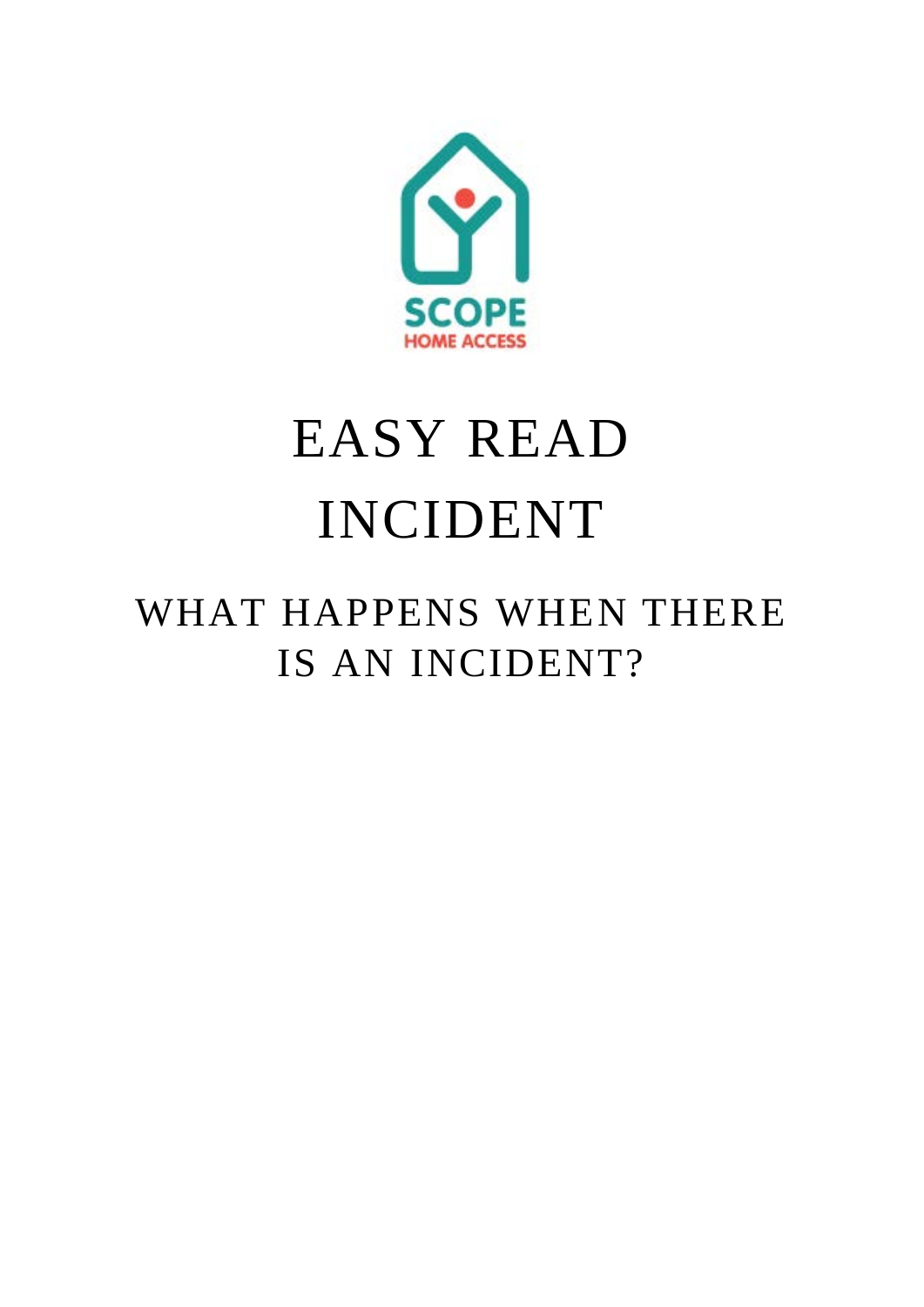

## EASY READ INCIDENT

## WHAT HAPPENS WHEN THERE IS AN INCIDENT?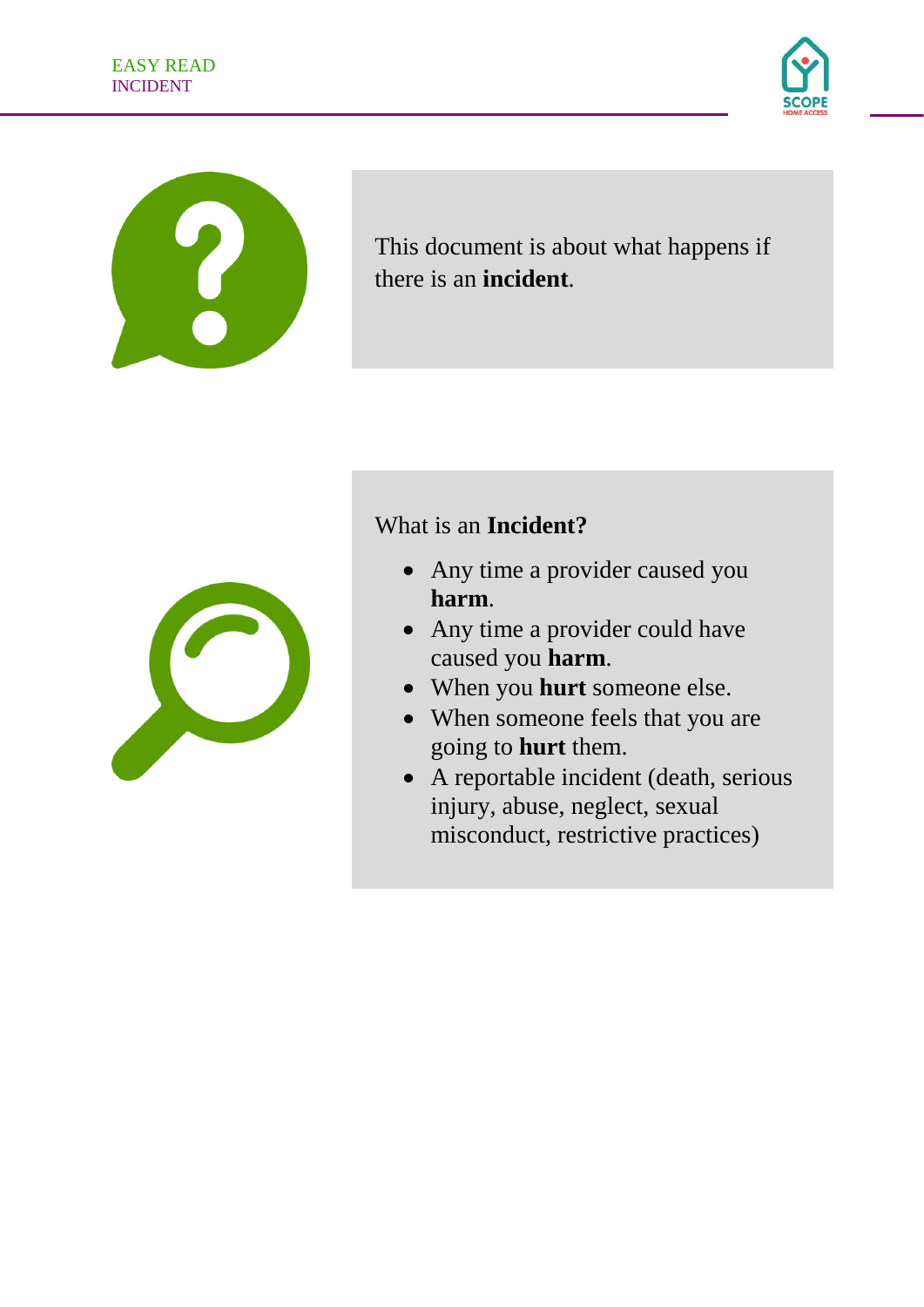

This document is about what happens if there is an **incident**.

## What is an **Incident?**



- Any time a provider caused you **harm**.
- Any time a provider could have caused you **harm**.
- When you **hurt** someone else.
- When someone feels that you are going to **hurt** them.
- A reportable incident (death, serious injury, abuse, neglect, sexual misconduct, restrictive practices)

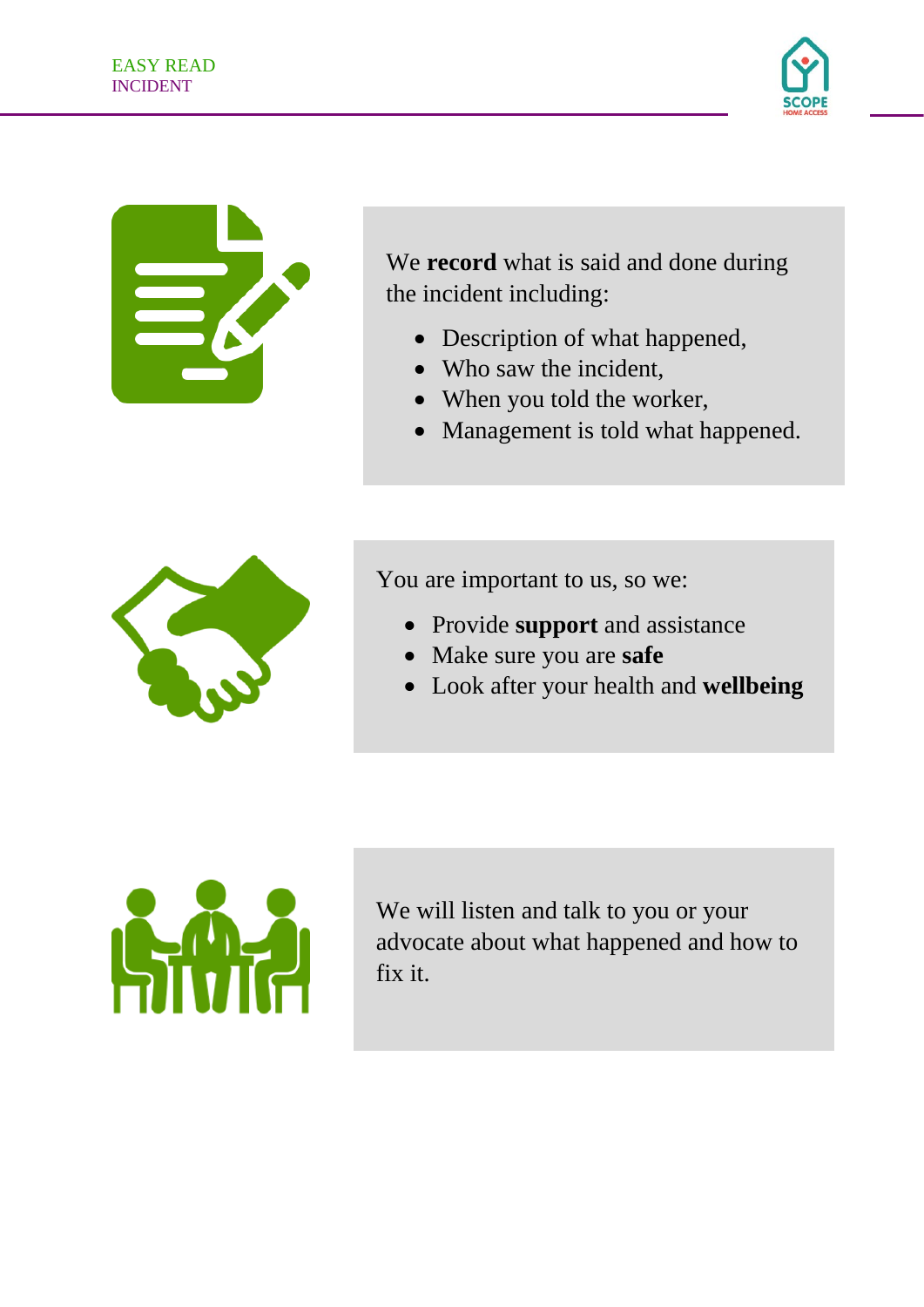

We **record** what is said and done during the incident including:

- Description of what happened,
- Who saw the incident,
- When you told the worker,
- Management is told what happened.



You are important to us, so we:

- Provide **support** and assistance
- Make sure you are **safe**
- Look after your health and **wellbeing**



We will listen and talk to you or your advocate about what happened and how to fix it.

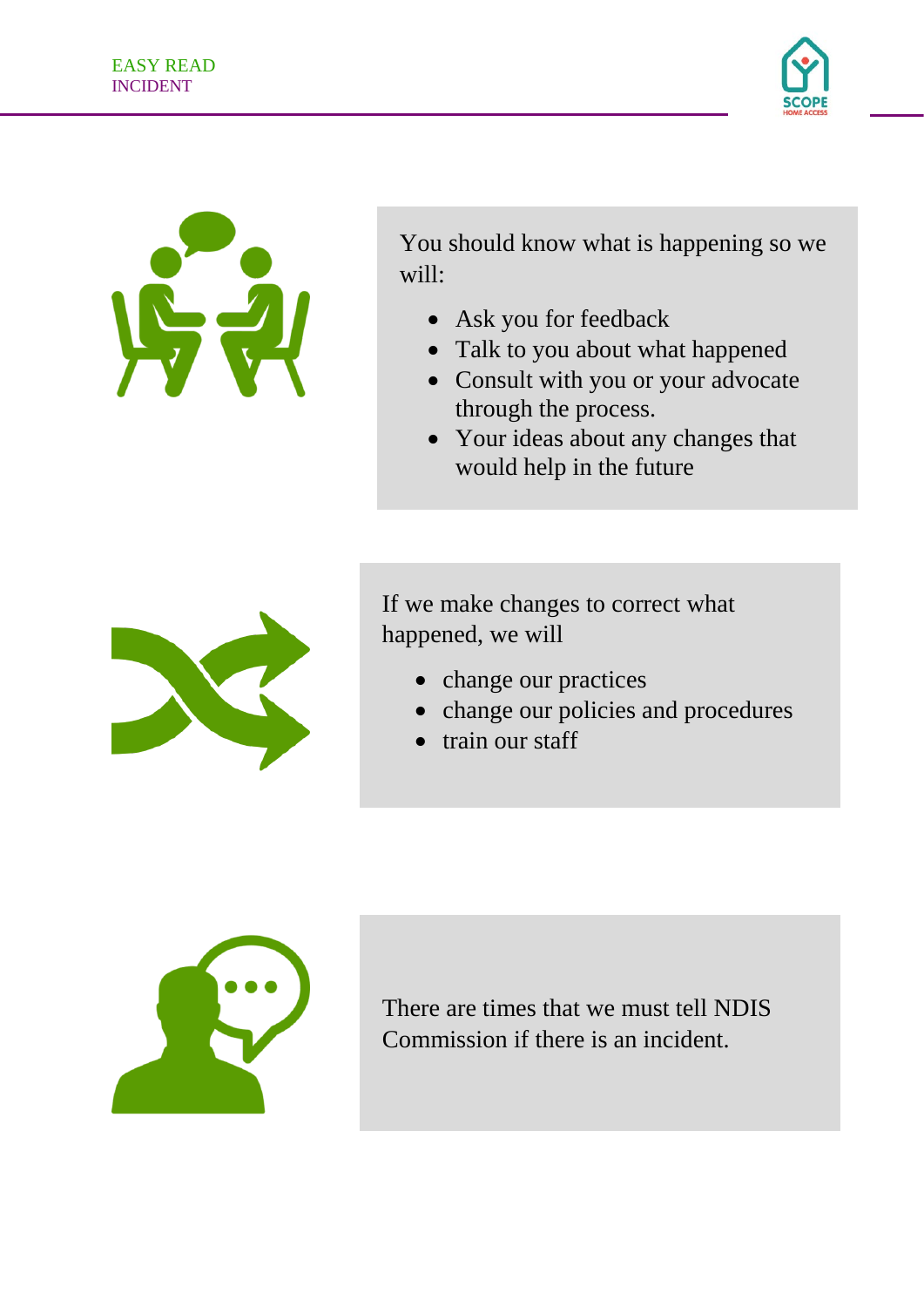

You should know what is happening so we will:

- Ask you for feedback
- Talk to you about what happened
- Consult with you or your advocate through the process.
- Your ideas about any changes that would help in the future



If we make changes to correct what happened, we will

- change our practices
- change our policies and procedures
- train our staff



There are times that we must tell NDIS Commission if there is an incident.